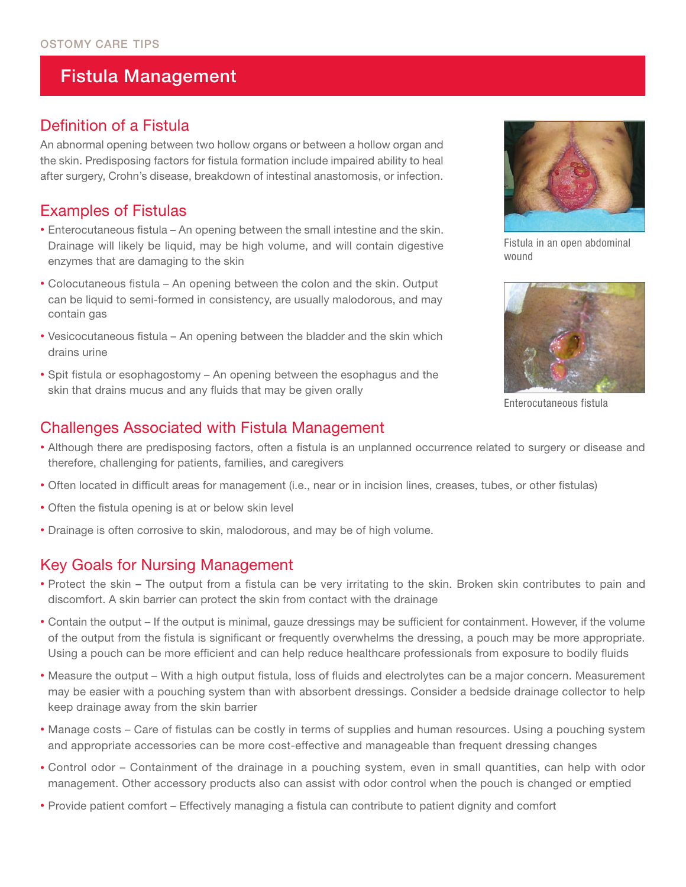## Fistula Management

#### Definition of a Fistula

An abnormal opening between two hollow organs or between a hollow organ and the skin. Predisposing factors for fistula formation include impaired ability to heal after surgery, Crohn's disease, breakdown of intestinal anastomosis, or infection.

### Examples of Fistulas

- Enterocutaneous fistula An opening between the small intestine and the skin. Drainage will likely be liquid, may be high volume, and will contain digestive enzymes that are damaging to the skin
- Colocutaneous fistula An opening between the colon and the skin. Output can be liquid to semi-formed in consistency, are usually malodorous, and may contain gas
- Vesicocutaneous fistula An opening between the bladder and the skin which drains urine
- Spit fistula or esophagostomy An opening between the esophagus and the skin that drains mucus and any fluids that may be given orally

#### Challenges Associated with Fistula Management

- Although there are predisposing factors, often a fistula is an unplanned occurrence related to surgery or disease and therefore, challenging for patients, families, and caregivers
- Often located in difficult areas for management (i.e., near or in incision lines, creases, tubes, or other fistulas)
- Often the fistula opening is at or below skin level
- Drainage is often corrosive to skin, malodorous, and may be of high volume.

#### Key Goals for Nursing Management

- Protect the skin The output from a fistula can be very irritating to the skin. Broken skin contributes to pain and discomfort. A skin barrier can protect the skin from contact with the drainage
- Contain the output If the output is minimal, gauze dressings may be sufficient for containment. However, if the volume of the output from the fistula is significant or frequently overwhelms the dressing, a pouch may be more appropriate. Using a pouch can be more efficient and can help reduce healthcare professionals from exposure to bodily fluids
- Measure the output With a high output fistula, loss of fluids and electrolytes can be a major concern. Measurement may be easier with a pouching system than with absorbent dressings. Consider a bedside drainage collector to help keep drainage away from the skin barrier
- Manage costs Care of fistulas can be costly in terms of supplies and human resources. Using a pouching system and appropriate accessories can be more cost-effective and manageable than frequent dressing changes
- Control odor Containment of the drainage in a pouching system, even in small quantities, can help with odor management. Other accessory products also can assist with odor control when the pouch is changed or emptied
- Provide patient comfort Effectively managing a fistula can contribute to patient dignity and comfort



Fistula in an open abdominal wound



Enterocutaneous fistula